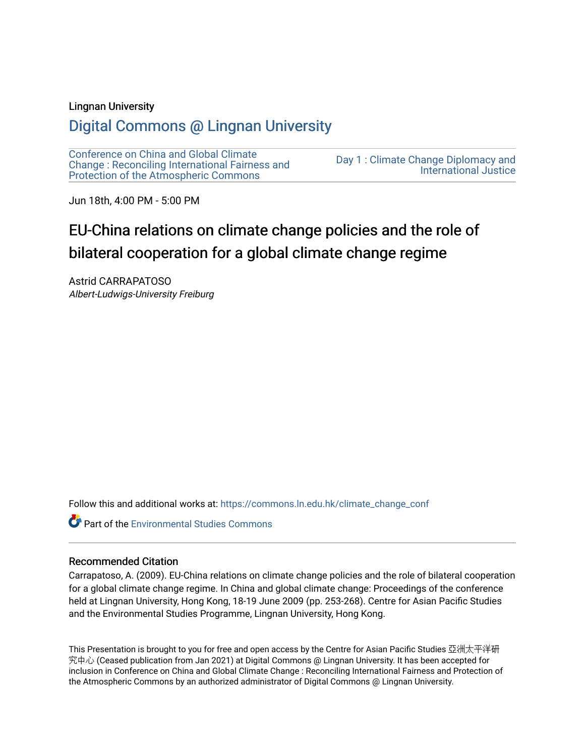#### Lingnan University

# [Digital Commons @ Lingnan University](https://commons.ln.edu.hk/)

[Conference on China and Global Climate](https://commons.ln.edu.hk/climate_change_conf)  [Change : Reconciling International Fairness and](https://commons.ln.edu.hk/climate_change_conf)  [Protection of the Atmospheric Commons](https://commons.ln.edu.hk/climate_change_conf)

[Day 1 : Climate Change Diplomacy and](https://commons.ln.edu.hk/climate_change_conf/day1)  [International Justice](https://commons.ln.edu.hk/climate_change_conf/day1) 

Jun 18th, 4:00 PM - 5:00 PM

# EU-China relations on climate change policies and the role of bilateral cooperation for a global climate change regime

Astrid CARRAPATOSO Albert-Ludwigs-University Freiburg

Follow this and additional works at: [https://commons.ln.edu.hk/climate\\_change\\_conf](https://commons.ln.edu.hk/climate_change_conf?utm_source=commons.ln.edu.hk%2Fclimate_change_conf%2Fday1%2Fs4-1%2F1&utm_medium=PDF&utm_campaign=PDFCoverPages) 

**Part of the [Environmental Studies Commons](https://network.bepress.com/hgg/discipline/1333?utm_source=commons.ln.edu.hk%2Fclimate_change_conf%2Fday1%2Fs4-1%2F1&utm_medium=PDF&utm_campaign=PDFCoverPages)** 

#### Recommended Citation

Carrapatoso, A. (2009). EU-China relations on climate change policies and the role of bilateral cooperation for a global climate change regime. In China and global climate change: Proceedings of the conference held at Lingnan University, Hong Kong, 18-19 June 2009 (pp. 253-268). Centre for Asian Pacific Studies and the Environmental Studies Programme, Lingnan University, Hong Kong.

This Presentation is brought to you for free and open access by the Centre for Asian Pacific Studies 亞洲太平洋研 究中心 (Ceased publication from Jan 2021) at Digital Commons @ Lingnan University. It has been accepted for inclusion in Conference on China and Global Climate Change : Reconciling International Fairness and Protection of the Atmospheric Commons by an authorized administrator of Digital Commons @ Lingnan University.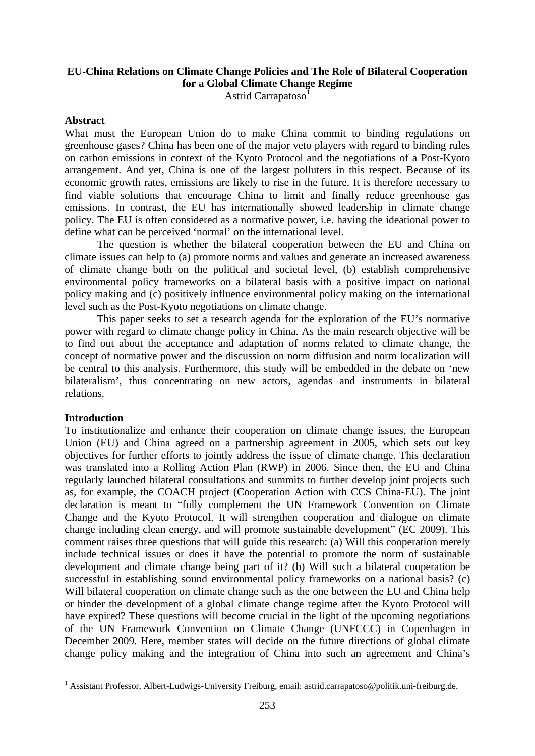# **EU-China Relations on Climate Change Policies and The Role of Bilateral Cooperation for a Global Climate Change Regime**

Astrid Carrapatoso<sup>1</sup>

#### **Abstract**

What must the European Union do to make China commit to binding regulations on greenhouse gases? China has been one of the major veto players with regard to binding rules on carbon emissions in context of the Kyoto Protocol and the negotiations of a Post-Kyoto arrangement. And yet, China is one of the largest polluters in this respect. Because of its economic growth rates, emissions are likely to rise in the future. It is therefore necessary to find viable solutions that encourage China to limit and finally reduce greenhouse gas emissions. In contrast, the EU has internationally showed leadership in climate change policy. The EU is often considered as a normative power, i.e. having the ideational power to define what can be perceived 'normal' on the international level.

The question is whether the bilateral cooperation between the EU and China on climate issues can help to (a) promote norms and values and generate an increased awareness of climate change both on the political and societal level, (b) establish comprehensive environmental policy frameworks on a bilateral basis with a positive impact on national policy making and (c) positively influence environmental policy making on the international level such as the Post-Kyoto negotiations on climate change.

This paper seeks to set a research agenda for the exploration of the EU's normative power with regard to climate change policy in China. As the main research objective will be to find out about the acceptance and adaptation of norms related to climate change, the concept of normative power and the discussion on norm diffusion and norm localization will be central to this analysis. Furthermore, this study will be embedded in the debate on 'new bilateralism', thus concentrating on new actors, agendas and instruments in bilateral relations.

#### **Introduction**

1

To institutionalize and enhance their cooperation on climate change issues, the European Union (EU) and China agreed on a partnership agreement in 2005, which sets out key objectives for further efforts to jointly address the issue of climate change. This declaration was translated into a Rolling Action Plan (RWP) in 2006. Since then, the EU and China regularly launched bilateral consultations and summits to further develop joint projects such as, for example, the COACH project (Cooperation Action with CCS China-EU). The joint declaration is meant to "fully complement the UN Framework Convention on Climate Change and the Kyoto Protocol. It will strengthen cooperation and dialogue on climate change including clean energy, and will promote sustainable development" (EC 2009). This comment raises three questions that will guide this research: (a) Will this cooperation merely include technical issues or does it have the potential to promote the norm of sustainable development and climate change being part of it? (b) Will such a bilateral cooperation be successful in establishing sound environmental policy frameworks on a national basis? (c) Will bilateral cooperation on climate change such as the one between the EU and China help or hinder the development of a global climate change regime after the Kyoto Protocol will have expired? These questions will become crucial in the light of the upcoming negotiations of the UN Framework Convention on Climate Change (UNFCCC) in Copenhagen in December 2009. Here, member states will decide on the future directions of global climate change policy making and the integration of China into such an agreement and China's

<sup>&</sup>lt;sup>1</sup> Assistant Professor, Albert-Ludwigs-University Freiburg, email: astrid.carrapatoso@politik.uni-freiburg.de.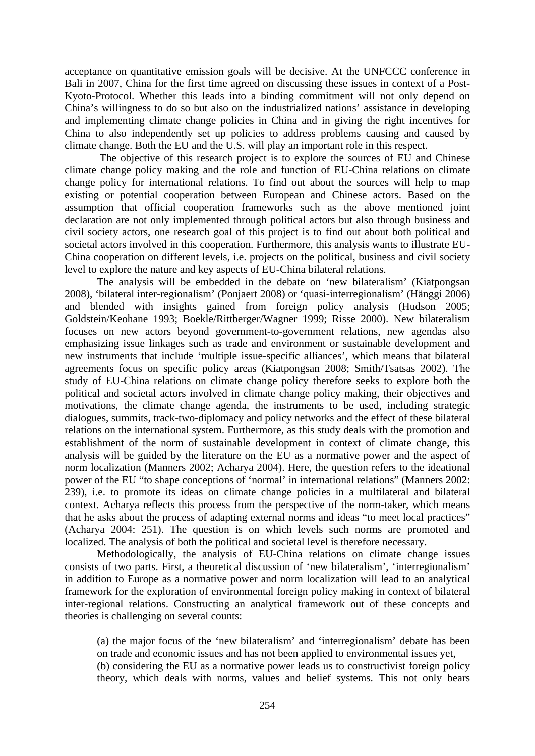acceptance on quantitative emission goals will be decisive. At the UNFCCC conference in Bali in 2007, China for the first time agreed on discussing these issues in context of a Post-Kyoto-Protocol. Whether this leads into a binding commitment will not only depend on China's willingness to do so but also on the industrialized nations' assistance in developing and implementing climate change policies in China and in giving the right incentives for China to also independently set up policies to address problems causing and caused by climate change. Both the EU and the U.S. will play an important role in this respect.

 The objective of this research project is to explore the sources of EU and Chinese climate change policy making and the role and function of EU-China relations on climate change policy for international relations. To find out about the sources will help to map existing or potential cooperation between European and Chinese actors. Based on the assumption that official cooperation frameworks such as the above mentioned joint declaration are not only implemented through political actors but also through business and civil society actors, one research goal of this project is to find out about both political and societal actors involved in this cooperation. Furthermore, this analysis wants to illustrate EU-China cooperation on different levels, i.e. projects on the political, business and civil society level to explore the nature and key aspects of EU-China bilateral relations.

 The analysis will be embedded in the debate on 'new bilateralism' (Kiatpongsan 2008), 'bilateral inter-regionalism' (Ponjaert 2008) or 'quasi-interregionalism' (Hänggi 2006) and blended with insights gained from foreign policy analysis (Hudson 2005; Goldstein/Keohane 1993; Boekle/Rittberger/Wagner 1999; Risse 2000). New bilateralism focuses on new actors beyond government-to-government relations, new agendas also emphasizing issue linkages such as trade and environment or sustainable development and new instruments that include 'multiple issue-specific alliances', which means that bilateral agreements focus on specific policy areas (Kiatpongsan 2008; Smith/Tsatsas 2002). The study of EU-China relations on climate change policy therefore seeks to explore both the political and societal actors involved in climate change policy making, their objectives and motivations, the climate change agenda, the instruments to be used, including strategic dialogues, summits, track-two-diplomacy and policy networks and the effect of these bilateral relations on the international system. Furthermore, as this study deals with the promotion and establishment of the norm of sustainable development in context of climate change, this analysis will be guided by the literature on the EU as a normative power and the aspect of norm localization (Manners 2002; Acharya 2004). Here, the question refers to the ideational power of the EU "to shape conceptions of 'normal' in international relations" (Manners 2002: 239), i.e. to promote its ideas on climate change policies in a multilateral and bilateral context. Acharya reflects this process from the perspective of the norm-taker, which means that he asks about the process of adapting external norms and ideas "to meet local practices" (Acharya 2004: 251). The question is on which levels such norms are promoted and localized. The analysis of both the political and societal level is therefore necessary.

 Methodologically, the analysis of EU-China relations on climate change issues consists of two parts. First, a theoretical discussion of 'new bilateralism', 'interregionalism' in addition to Europe as a normative power and norm localization will lead to an analytical framework for the exploration of environmental foreign policy making in context of bilateral inter-regional relations. Constructing an analytical framework out of these concepts and theories is challenging on several counts:

(a) the major focus of the 'new bilateralism' and 'interregionalism' debate has been on trade and economic issues and has not been applied to environmental issues yet,

(b) considering the EU as a normative power leads us to constructivist foreign policy theory, which deals with norms, values and belief systems. This not only bears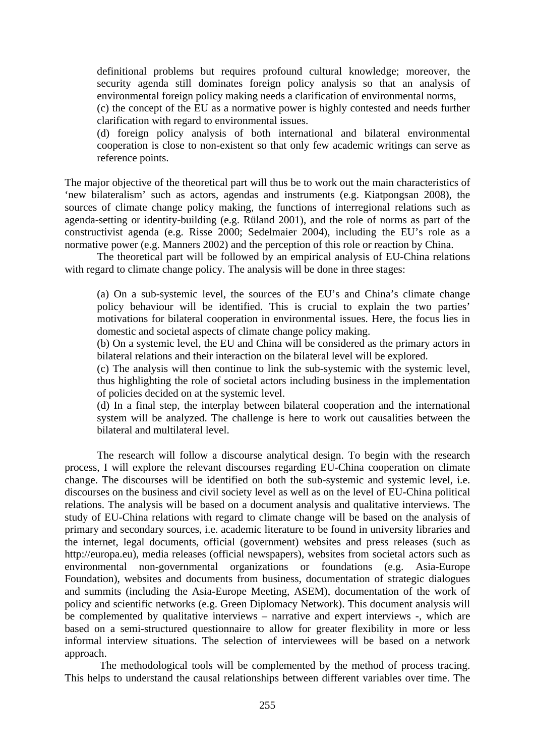definitional problems but requires profound cultural knowledge; moreover, the security agenda still dominates foreign policy analysis so that an analysis of environmental foreign policy making needs a clarification of environmental norms,

(c) the concept of the EU as a normative power is highly contested and needs further clarification with regard to environmental issues.

(d) foreign policy analysis of both international and bilateral environmental cooperation is close to non-existent so that only few academic writings can serve as reference points.

The major objective of the theoretical part will thus be to work out the main characteristics of 'new bilateralism' such as actors, agendas and instruments (e.g. Kiatpongsan 2008), the sources of climate change policy making, the functions of interregional relations such as agenda-setting or identity-building (e.g. Rüland 2001), and the role of norms as part of the constructivist agenda (e.g. Risse 2000; Sedelmaier 2004), including the EU's role as a normative power (e.g. Manners 2002) and the perception of this role or reaction by China.

 The theoretical part will be followed by an empirical analysis of EU-China relations with regard to climate change policy. The analysis will be done in three stages:

(a) On a sub-systemic level, the sources of the EU's and China's climate change policy behaviour will be identified. This is crucial to explain the two parties' motivations for bilateral cooperation in environmental issues. Here, the focus lies in domestic and societal aspects of climate change policy making.

(b) On a systemic level, the EU and China will be considered as the primary actors in bilateral relations and their interaction on the bilateral level will be explored.

(c) The analysis will then continue to link the sub-systemic with the systemic level, thus highlighting the role of societal actors including business in the implementation of policies decided on at the systemic level.

(d) In a final step, the interplay between bilateral cooperation and the international system will be analyzed. The challenge is here to work out causalities between the bilateral and multilateral level.

 The research will follow a discourse analytical design. To begin with the research process, I will explore the relevant discourses regarding EU-China cooperation on climate change. The discourses will be identified on both the sub-systemic and systemic level, i.e. discourses on the business and civil society level as well as on the level of EU-China political relations. The analysis will be based on a document analysis and qualitative interviews. The study of EU-China relations with regard to climate change will be based on the analysis of primary and secondary sources, i.e. academic literature to be found in university libraries and the internet, legal documents, official (government) websites and press releases (such as http://europa.eu), media releases (official newspapers), websites from societal actors such as environmental non-governmental organizations or foundations (e.g. Asia-Europe Foundation), websites and documents from business, documentation of strategic dialogues and summits (including the Asia-Europe Meeting, ASEM), documentation of the work of policy and scientific networks (e.g. Green Diplomacy Network). This document analysis will be complemented by qualitative interviews – narrative and expert interviews -, which are based on a semi-structured questionnaire to allow for greater flexibility in more or less informal interview situations. The selection of interviewees will be based on a network approach.

 The methodological tools will be complemented by the method of process tracing. This helps to understand the causal relationships between different variables over time. The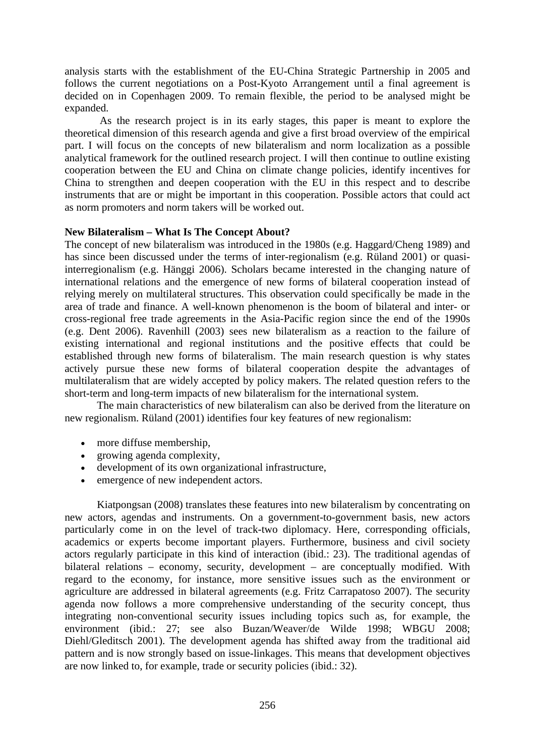analysis starts with the establishment of the EU-China Strategic Partnership in 2005 and follows the current negotiations on a Post-Kyoto Arrangement until a final agreement is decided on in Copenhagen 2009. To remain flexible, the period to be analysed might be expanded.

 As the research project is in its early stages, this paper is meant to explore the theoretical dimension of this research agenda and give a first broad overview of the empirical part. I will focus on the concepts of new bilateralism and norm localization as a possible analytical framework for the outlined research project. I will then continue to outline existing cooperation between the EU and China on climate change policies, identify incentives for China to strengthen and deepen cooperation with the EU in this respect and to describe instruments that are or might be important in this cooperation. Possible actors that could act as norm promoters and norm takers will be worked out.

# **New Bilateralism – What Is The Concept About?**

The concept of new bilateralism was introduced in the 1980s (e.g. Haggard/Cheng 1989) and has since been discussed under the terms of inter-regionalism (e.g. Rüland 2001) or quasiinterregionalism (e.g. Hänggi 2006). Scholars became interested in the changing nature of international relations and the emergence of new forms of bilateral cooperation instead of relying merely on multilateral structures. This observation could specifically be made in the area of trade and finance. A well-known phenomenon is the boom of bilateral and inter- or cross-regional free trade agreements in the Asia-Pacific region since the end of the 1990s (e.g. Dent 2006). Ravenhill (2003) sees new bilateralism as a reaction to the failure of existing international and regional institutions and the positive effects that could be established through new forms of bilateralism. The main research question is why states actively pursue these new forms of bilateral cooperation despite the advantages of multilateralism that are widely accepted by policy makers. The related question refers to the short-term and long-term impacts of new bilateralism for the international system.

 The main characteristics of new bilateralism can also be derived from the literature on new regionalism. Rüland (2001) identifies four key features of new regionalism:

- more diffuse membership,
- growing agenda complexity,
- development of its own organizational infrastructure,
- emergence of new independent actors.

 Kiatpongsan (2008) translates these features into new bilateralism by concentrating on new actors, agendas and instruments. On a government-to-government basis, new actors particularly come in on the level of track-two diplomacy. Here, corresponding officials, academics or experts become important players. Furthermore, business and civil society actors regularly participate in this kind of interaction (ibid.: 23). The traditional agendas of bilateral relations – economy, security, development – are conceptually modified. With regard to the economy, for instance, more sensitive issues such as the environment or agriculture are addressed in bilateral agreements (e.g. Fritz Carrapatoso 2007). The security agenda now follows a more comprehensive understanding of the security concept, thus integrating non-conventional security issues including topics such as, for example, the environment (ibid.: 27; see also Buzan/Weaver/de Wilde 1998; WBGU 2008; Diehl/Gleditsch 2001). The development agenda has shifted away from the traditional aid pattern and is now strongly based on issue-linkages. This means that development objectives are now linked to, for example, trade or security policies (ibid.: 32).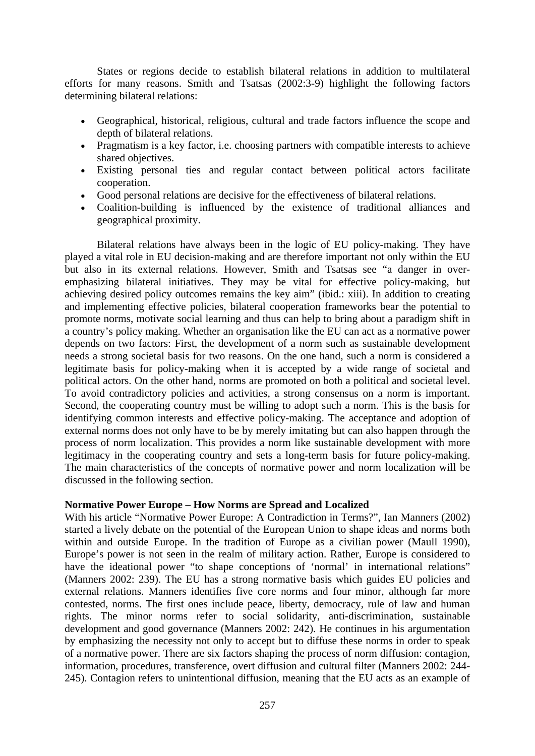States or regions decide to establish bilateral relations in addition to multilateral efforts for many reasons. Smith and Tsatsas (2002:3-9) highlight the following factors determining bilateral relations:

- Geographical, historical, religious, cultural and trade factors influence the scope and depth of bilateral relations.
- Pragmatism is a key factor, i.e. choosing partners with compatible interests to achieve shared objectives.
- Existing personal ties and regular contact between political actors facilitate cooperation.
- Good personal relations are decisive for the effectiveness of bilateral relations.
- Coalition-building is influenced by the existence of traditional alliances and geographical proximity.

 Bilateral relations have always been in the logic of EU policy-making. They have played a vital role in EU decision-making and are therefore important not only within the EU but also in its external relations. However, Smith and Tsatsas see "a danger in overemphasizing bilateral initiatives. They may be vital for effective policy-making, but achieving desired policy outcomes remains the key aim" (ibid.: xiii). In addition to creating and implementing effective policies, bilateral cooperation frameworks bear the potential to promote norms, motivate social learning and thus can help to bring about a paradigm shift in a country's policy making. Whether an organisation like the EU can act as a normative power depends on two factors: First, the development of a norm such as sustainable development needs a strong societal basis for two reasons. On the one hand, such a norm is considered a legitimate basis for policy-making when it is accepted by a wide range of societal and political actors. On the other hand, norms are promoted on both a political and societal level. To avoid contradictory policies and activities, a strong consensus on a norm is important. Second, the cooperating country must be willing to adopt such a norm. This is the basis for identifying common interests and effective policy-making. The acceptance and adoption of external norms does not only have to be by merely imitating but can also happen through the process of norm localization. This provides a norm like sustainable development with more legitimacy in the cooperating country and sets a long-term basis for future policy-making. The main characteristics of the concepts of normative power and norm localization will be discussed in the following section.

# **Normative Power Europe – How Norms are Spread and Localized**

With his article "Normative Power Europe: A Contradiction in Terms?", Ian Manners (2002) started a lively debate on the potential of the European Union to shape ideas and norms both within and outside Europe. In the tradition of Europe as a civilian power (Maull 1990), Europe's power is not seen in the realm of military action. Rather, Europe is considered to have the ideational power "to shape conceptions of 'normal' in international relations" (Manners 2002: 239). The EU has a strong normative basis which guides EU policies and external relations. Manners identifies five core norms and four minor, although far more contested, norms. The first ones include peace, liberty, democracy, rule of law and human rights. The minor norms refer to social solidarity, anti-discrimination, sustainable development and good governance (Manners 2002: 242). He continues in his argumentation by emphasizing the necessity not only to accept but to diffuse these norms in order to speak of a normative power. There are six factors shaping the process of norm diffusion: contagion, information, procedures, transference, overt diffusion and cultural filter (Manners 2002: 244- 245). Contagion refers to unintentional diffusion, meaning that the EU acts as an example of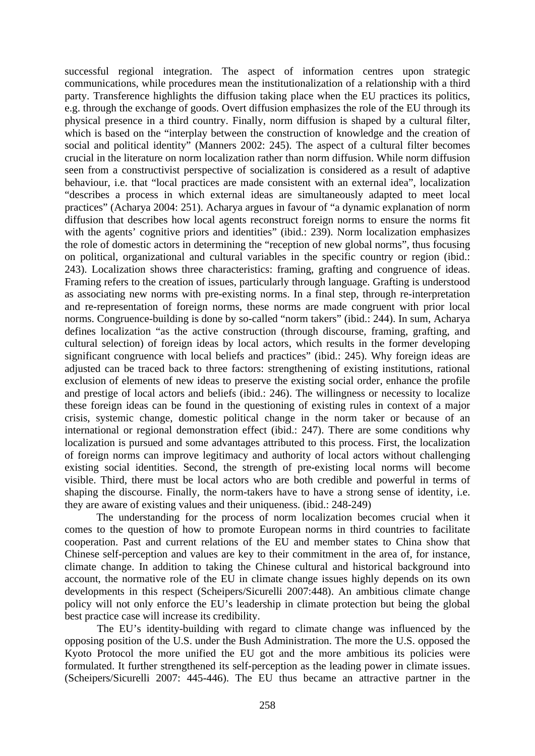successful regional integration. The aspect of information centres upon strategic communications, while procedures mean the institutionalization of a relationship with a third party. Transference highlights the diffusion taking place when the EU practices its politics, e.g. through the exchange of goods. Overt diffusion emphasizes the role of the EU through its physical presence in a third country. Finally, norm diffusion is shaped by a cultural filter, which is based on the "interplay between the construction of knowledge and the creation of social and political identity" (Manners 2002: 245). The aspect of a cultural filter becomes crucial in the literature on norm localization rather than norm diffusion. While norm diffusion seen from a constructivist perspective of socialization is considered as a result of adaptive behaviour, i.e. that "local practices are made consistent with an external idea", localization "describes a process in which external ideas are simultaneously adapted to meet local practices" (Acharya 2004: 251). Acharya argues in favour of "a dynamic explanation of norm diffusion that describes how local agents reconstruct foreign norms to ensure the norms fit with the agents' cognitive priors and identities" (ibid.: 239). Norm localization emphasizes the role of domestic actors in determining the "reception of new global norms", thus focusing on political, organizational and cultural variables in the specific country or region (ibid.: 243). Localization shows three characteristics: framing, grafting and congruence of ideas. Framing refers to the creation of issues, particularly through language. Grafting is understood as associating new norms with pre-existing norms. In a final step, through re-interpretation and re-representation of foreign norms, these norms are made congruent with prior local norms. Congruence-building is done by so-called "norm takers" (ibid.: 244). In sum, Acharya defines localization "as the active construction (through discourse, framing, grafting, and cultural selection) of foreign ideas by local actors, which results in the former developing significant congruence with local beliefs and practices" (ibid.: 245). Why foreign ideas are adjusted can be traced back to three factors: strengthening of existing institutions, rational exclusion of elements of new ideas to preserve the existing social order, enhance the profile and prestige of local actors and beliefs (ibid.: 246). The willingness or necessity to localize these foreign ideas can be found in the questioning of existing rules in context of a major crisis, systemic change, domestic political change in the norm taker or because of an international or regional demonstration effect (ibid.: 247). There are some conditions why localization is pursued and some advantages attributed to this process. First, the localization of foreign norms can improve legitimacy and authority of local actors without challenging existing social identities. Second, the strength of pre-existing local norms will become visible. Third, there must be local actors who are both credible and powerful in terms of shaping the discourse. Finally, the norm-takers have to have a strong sense of identity, i.e. they are aware of existing values and their uniqueness. (ibid.: 248-249)

The understanding for the process of norm localization becomes crucial when it comes to the question of how to promote European norms in third countries to facilitate cooperation. Past and current relations of the EU and member states to China show that Chinese self-perception and values are key to their commitment in the area of, for instance, climate change. In addition to taking the Chinese cultural and historical background into account, the normative role of the EU in climate change issues highly depends on its own developments in this respect (Scheipers/Sicurelli 2007:448). An ambitious climate change policy will not only enforce the EU's leadership in climate protection but being the global best practice case will increase its credibility.

 The EU's identity-building with regard to climate change was influenced by the opposing position of the U.S. under the Bush Administration. The more the U.S. opposed the Kyoto Protocol the more unified the EU got and the more ambitious its policies were formulated. It further strengthened its self-perception as the leading power in climate issues. (Scheipers/Sicurelli 2007: 445-446). The EU thus became an attractive partner in the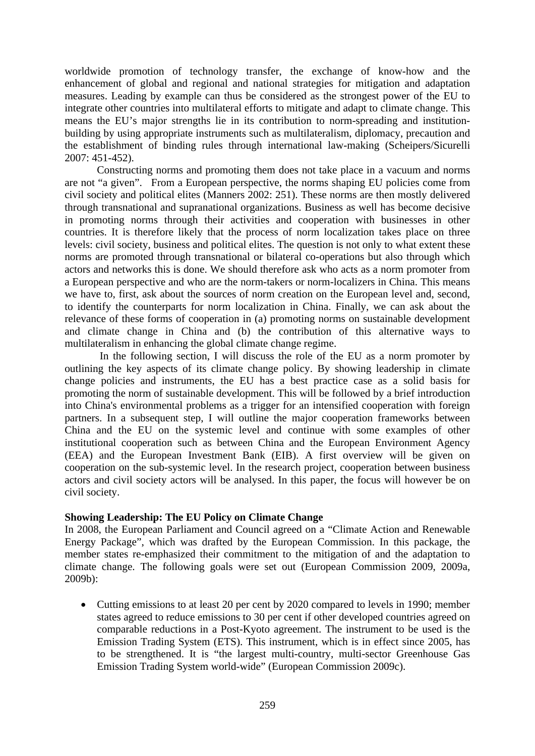worldwide promotion of technology transfer, the exchange of know-how and the enhancement of global and regional and national strategies for mitigation and adaptation measures. Leading by example can thus be considered as the strongest power of the EU to integrate other countries into multilateral efforts to mitigate and adapt to climate change. This means the EU's major strengths lie in its contribution to norm-spreading and institutionbuilding by using appropriate instruments such as multilateralism, diplomacy, precaution and the establishment of binding rules through international law-making (Scheipers/Sicurelli 2007: 451-452).

 Constructing norms and promoting them does not take place in a vacuum and norms are not "a given". From a European perspective, the norms shaping EU policies come from civil society and political elites (Manners 2002: 251). These norms are then mostly delivered through transnational and supranational organizations. Business as well has become decisive in promoting norms through their activities and cooperation with businesses in other countries. It is therefore likely that the process of norm localization takes place on three levels: civil society, business and political elites. The question is not only to what extent these norms are promoted through transnational or bilateral co-operations but also through which actors and networks this is done. We should therefore ask who acts as a norm promoter from a European perspective and who are the norm-takers or norm-localizers in China. This means we have to, first, ask about the sources of norm creation on the European level and, second, to identify the counterparts for norm localization in China. Finally, we can ask about the relevance of these forms of cooperation in (a) promoting norms on sustainable development and climate change in China and (b) the contribution of this alternative ways to multilateralism in enhancing the global climate change regime.

 In the following section, I will discuss the role of the EU as a norm promoter by outlining the key aspects of its climate change policy. By showing leadership in climate change policies and instruments, the EU has a best practice case as a solid basis for promoting the norm of sustainable development. This will be followed by a brief introduction into China's environmental problems as a trigger for an intensified cooperation with foreign partners. In a subsequent step, I will outline the major cooperation frameworks between China and the EU on the systemic level and continue with some examples of other institutional cooperation such as between China and the European Environment Agency (EEA) and the European Investment Bank (EIB). A first overview will be given on cooperation on the sub-systemic level. In the research project, cooperation between business actors and civil society actors will be analysed. In this paper, the focus will however be on civil society.

# **Showing Leadership: The EU Policy on Climate Change**

In 2008, the European Parliament and Council agreed on a "Climate Action and Renewable Energy Package", which was drafted by the European Commission. In this package, the member states re-emphasized their commitment to the mitigation of and the adaptation to climate change. The following goals were set out (European Commission 2009, 2009a, 2009b):

• Cutting emissions to at least 20 per cent by 2020 compared to levels in 1990; member states agreed to reduce emissions to 30 per cent if other developed countries agreed on comparable reductions in a Post-Kyoto agreement. The instrument to be used is the Emission Trading System (ETS). This instrument, which is in effect since 2005, has to be strengthened. It is "the largest multi-country, multi-sector Greenhouse Gas Emission Trading System world-wide" (European Commission 2009c).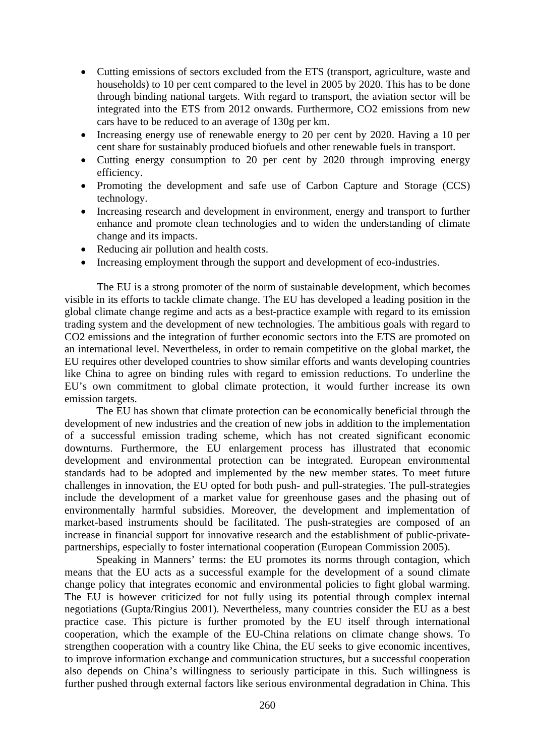- Cutting emissions of sectors excluded from the ETS (transport, agriculture, waste and households) to 10 per cent compared to the level in 2005 by 2020. This has to be done through binding national targets. With regard to transport, the aviation sector will be integrated into the ETS from 2012 onwards. Furthermore, CO2 emissions from new cars have to be reduced to an average of 130g per km.
- Increasing energy use of renewable energy to 20 per cent by 2020. Having a 10 per cent share for sustainably produced biofuels and other renewable fuels in transport.
- Cutting energy consumption to 20 per cent by 2020 through improving energy efficiency.
- Promoting the development and safe use of Carbon Capture and Storage (CCS) technology.
- Increasing research and development in environment, energy and transport to further enhance and promote clean technologies and to widen the understanding of climate change and its impacts.
- Reducing air pollution and health costs.
- Increasing employment through the support and development of eco-industries.

 The EU is a strong promoter of the norm of sustainable development, which becomes visible in its efforts to tackle climate change. The EU has developed a leading position in the global climate change regime and acts as a best-practice example with regard to its emission trading system and the development of new technologies. The ambitious goals with regard to CO2 emissions and the integration of further economic sectors into the ETS are promoted on an international level. Nevertheless, in order to remain competitive on the global market, the EU requires other developed countries to show similar efforts and wants developing countries like China to agree on binding rules with regard to emission reductions. To underline the EU's own commitment to global climate protection, it would further increase its own emission targets.

The EU has shown that climate protection can be economically beneficial through the development of new industries and the creation of new jobs in addition to the implementation of a successful emission trading scheme, which has not created significant economic downturns. Furthermore, the EU enlargement process has illustrated that economic development and environmental protection can be integrated. European environmental standards had to be adopted and implemented by the new member states. To meet future challenges in innovation, the EU opted for both push- and pull-strategies. The pull-strategies include the development of a market value for greenhouse gases and the phasing out of environmentally harmful subsidies. Moreover, the development and implementation of market-based instruments should be facilitated. The push-strategies are composed of an increase in financial support for innovative research and the establishment of public-privatepartnerships, especially to foster international cooperation (European Commission 2005).

Speaking in Manners' terms: the EU promotes its norms through contagion, which means that the EU acts as a successful example for the development of a sound climate change policy that integrates economic and environmental policies to fight global warming. The EU is however criticized for not fully using its potential through complex internal negotiations (Gupta/Ringius 2001). Nevertheless, many countries consider the EU as a best practice case. This picture is further promoted by the EU itself through international cooperation, which the example of the EU-China relations on climate change shows. To strengthen cooperation with a country like China, the EU seeks to give economic incentives, to improve information exchange and communication structures, but a successful cooperation also depends on China's willingness to seriously participate in this. Such willingness is further pushed through external factors like serious environmental degradation in China. This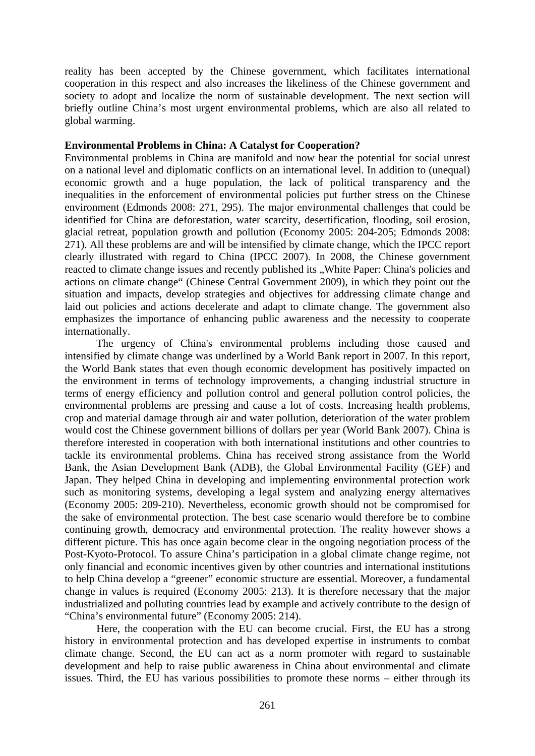reality has been accepted by the Chinese government, which facilitates international cooperation in this respect and also increases the likeliness of the Chinese government and society to adopt and localize the norm of sustainable development. The next section will briefly outline China's most urgent environmental problems, which are also all related to global warming.

### **Environmental Problems in China: A Catalyst for Cooperation?**

Environmental problems in China are manifold and now bear the potential for social unrest on a national level and diplomatic conflicts on an international level. In addition to (unequal) economic growth and a huge population, the lack of political transparency and the inequalities in the enforcement of environmental policies put further stress on the Chinese environment (Edmonds 2008: 271, 295). The major environmental challenges that could be identified for China are deforestation, water scarcity, desertification, flooding, soil erosion, glacial retreat, population growth and pollution (Economy 2005: 204-205; Edmonds 2008: 271). All these problems are and will be intensified by climate change, which the IPCC report clearly illustrated with regard to China (IPCC 2007). In 2008, the Chinese government reacted to climate change issues and recently published its "White Paper: China's policies and actions on climate change" (Chinese Central Government 2009), in which they point out the situation and impacts, develop strategies and objectives for addressing climate change and laid out policies and actions decelerate and adapt to climate change. The government also emphasizes the importance of enhancing public awareness and the necessity to cooperate internationally.

The urgency of China's environmental problems including those caused and intensified by climate change was underlined by a World Bank report in 2007. In this report, the World Bank states that even though economic development has positively impacted on the environment in terms of technology improvements, a changing industrial structure in terms of energy efficiency and pollution control and general pollution control policies, the environmental problems are pressing and cause a lot of costs. Increasing health problems, crop and material damage through air and water pollution, deterioration of the water problem would cost the Chinese government billions of dollars per year (World Bank 2007). China is therefore interested in cooperation with both international institutions and other countries to tackle its environmental problems. China has received strong assistance from the World Bank, the Asian Development Bank (ADB), the Global Environmental Facility (GEF) and Japan. They helped China in developing and implementing environmental protection work such as monitoring systems, developing a legal system and analyzing energy alternatives (Economy 2005: 209-210). Nevertheless, economic growth should not be compromised for the sake of environmental protection. The best case scenario would therefore be to combine continuing growth, democracy and environmental protection. The reality however shows a different picture. This has once again become clear in the ongoing negotiation process of the Post-Kyoto-Protocol. To assure China's participation in a global climate change regime, not only financial and economic incentives given by other countries and international institutions to help China develop a "greener" economic structure are essential. Moreover, a fundamental change in values is required (Economy 2005: 213). It is therefore necessary that the major industrialized and polluting countries lead by example and actively contribute to the design of "China's environmental future" (Economy 2005: 214).

Here, the cooperation with the EU can become crucial. First, the EU has a strong history in environmental protection and has developed expertise in instruments to combat climate change. Second, the EU can act as a norm promoter with regard to sustainable development and help to raise public awareness in China about environmental and climate issues. Third, the EU has various possibilities to promote these norms – either through its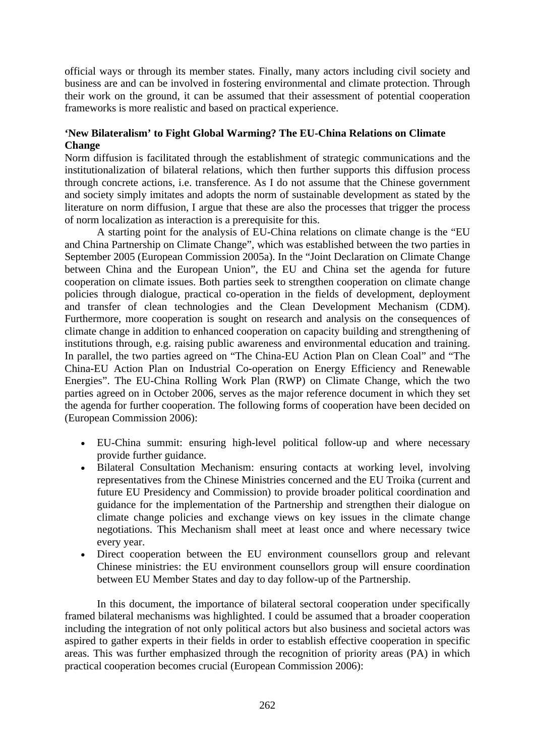official ways or through its member states. Finally, many actors including civil society and business are and can be involved in fostering environmental and climate protection. Through their work on the ground, it can be assumed that their assessment of potential cooperation frameworks is more realistic and based on practical experience.

# **'New Bilateralism' to Fight Global Warming? The EU-China Relations on Climate Change**

Norm diffusion is facilitated through the establishment of strategic communications and the institutionalization of bilateral relations, which then further supports this diffusion process through concrete actions, i.e. transference. As I do not assume that the Chinese government and society simply imitates and adopts the norm of sustainable development as stated by the literature on norm diffusion, I argue that these are also the processes that trigger the process of norm localization as interaction is a prerequisite for this.

A starting point for the analysis of EU-China relations on climate change is the "EU and China Partnership on Climate Change", which was established between the two parties in September 2005 (European Commission 2005a). In the "Joint Declaration on Climate Change between China and the European Union", the EU and China set the agenda for future cooperation on climate issues. Both parties seek to strengthen cooperation on climate change policies through dialogue, practical co-operation in the fields of development, deployment and transfer of clean technologies and the Clean Development Mechanism (CDM). Furthermore, more cooperation is sought on research and analysis on the consequences of climate change in addition to enhanced cooperation on capacity building and strengthening of institutions through, e.g. raising public awareness and environmental education and training. In parallel, the two parties agreed on "The China-EU Action Plan on Clean Coal" and "The China-EU Action Plan on Industrial Co-operation on Energy Efficiency and Renewable Energies". The EU-China Rolling Work Plan (RWP) on Climate Change, which the two parties agreed on in October 2006, serves as the major reference document in which they set the agenda for further cooperation. The following forms of cooperation have been decided on (European Commission 2006):

- EU-China summit: ensuring high-level political follow-up and where necessary provide further guidance.
- Bilateral Consultation Mechanism: ensuring contacts at working level, involving representatives from the Chinese Ministries concerned and the EU Troika (current and future EU Presidency and Commission) to provide broader political coordination and guidance for the implementation of the Partnership and strengthen their dialogue on climate change policies and exchange views on key issues in the climate change negotiations. This Mechanism shall meet at least once and where necessary twice every year.
- Direct cooperation between the EU environment counsellors group and relevant Chinese ministries: the EU environment counsellors group will ensure coordination between EU Member States and day to day follow-up of the Partnership.

 In this document, the importance of bilateral sectoral cooperation under specifically framed bilateral mechanisms was highlighted. I could be assumed that a broader cooperation including the integration of not only political actors but also business and societal actors was aspired to gather experts in their fields in order to establish effective cooperation in specific areas. This was further emphasized through the recognition of priority areas (PA) in which practical cooperation becomes crucial (European Commission 2006):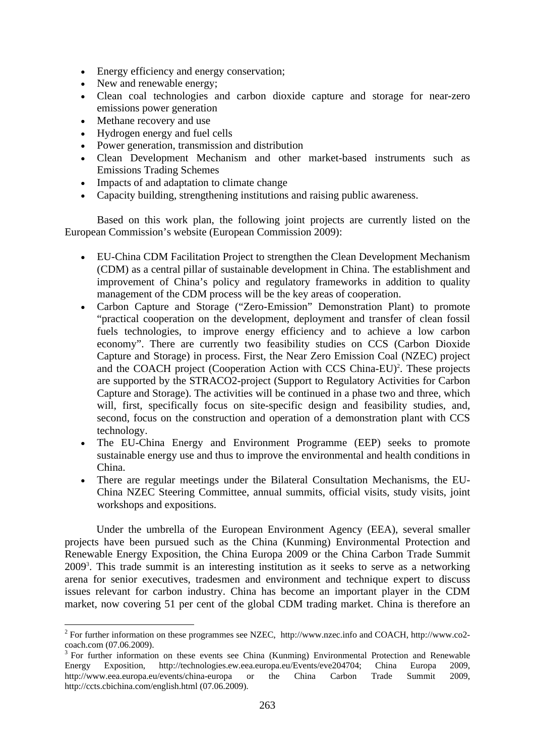- Energy efficiency and energy conservation;
- New and renewable energy;
- Clean coal technologies and carbon dioxide capture and storage for near-zero emissions power generation
- Methane recovery and use

1

- Hydrogen energy and fuel cells
- Power generation, transmission and distribution
- Clean Development Mechanism and other market-based instruments such as Emissions Trading Schemes
- Impacts of and adaptation to climate change
- Capacity building, strengthening institutions and raising public awareness.

 Based on this work plan, the following joint projects are currently listed on the European Commission's website (European Commission 2009):

- EU-China CDM Facilitation Project to strengthen the Clean Development Mechanism (CDM) as a central pillar of sustainable development in China. The establishment and improvement of China's policy and regulatory frameworks in addition to quality management of the CDM process will be the key areas of cooperation.
- Carbon Capture and Storage ("Zero-Emission" Demonstration Plant) to promote "practical cooperation on the development, deployment and transfer of clean fossil fuels technologies, to improve energy efficiency and to achieve a low carbon economy". There are currently two feasibility studies on CCS (Carbon Dioxide Capture and Storage) in process. First, the Near Zero Emission Coal (NZEC) project and the COACH project (Cooperation Action with CCS China-EU)<sup>2</sup>. These projects are supported by the STRACO2-project (Support to Regulatory Activities for Carbon Capture and Storage). The activities will be continued in a phase two and three, which will, first, specifically focus on site-specific design and feasibility studies, and, second, focus on the construction and operation of a demonstration plant with CCS technology.
- The EU-China Energy and Environment Programme (EEP) seeks to promote sustainable energy use and thus to improve the environmental and health conditions in China.
- There are regular meetings under the Bilateral Consultation Mechanisms, the EU-China NZEC Steering Committee, annual summits, official visits, study visits, joint workshops and expositions.

Under the umbrella of the European Environment Agency (EEA), several smaller projects have been pursued such as the China (Kunming) Environmental Protection and Renewable Energy Exposition, the China Europa 2009 or the China Carbon Trade Summit 20093 . This trade summit is an interesting institution as it seeks to serve as a networking arena for senior executives, tradesmen and environment and technique expert to discuss issues relevant for carbon industry. China has become an important player in the CDM market, now covering 51 per cent of the global CDM trading market. China is therefore an

 $2^2$  For further information on these programmes see NZEC, http://www.nzec.info and COACH, http://www.co2coach.com (07.06.2009).

<sup>3</sup> For further information on these events see China (Kunming) Environmental Protection and Renewable Energy Exposition, http://technologies.ew.eea.europa.eu/Events/eve204704; China Europa 2009, http://www.eea.europa.eu/events/china-europa or the China Carbon Trade Summit 2009, http://ccts.cbichina.com/english.html (07.06.2009).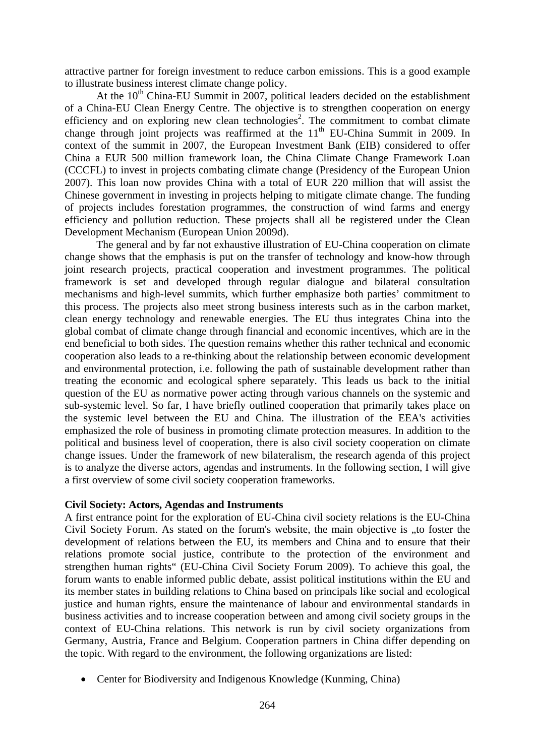attractive partner for foreign investment to reduce carbon emissions. This is a good example to illustrate business interest climate change policy.

At the  $10^{th}$  China-EU Summit in 2007, political leaders decided on the establishment of a China-EU Clean Energy Centre. The objective is to strengthen cooperation on energy efficiency and on exploring new clean technologies<sup>2</sup>. The commitment to combat climate change through joint projects was reaffirmed at the  $11<sup>th</sup>$  EU-China Summit in 2009. In context of the summit in 2007, the European Investment Bank (EIB) considered to offer China a EUR 500 million framework loan, the China Climate Change Framework Loan (CCCFL) to invest in projects combating climate change (Presidency of the European Union 2007). This loan now provides China with a total of EUR 220 million that will assist the Chinese government in investing in projects helping to mitigate climate change. The funding of projects includes forestation programmes, the construction of wind farms and energy efficiency and pollution reduction. These projects shall all be registered under the Clean Development Mechanism (European Union 2009d).

The general and by far not exhaustive illustration of EU-China cooperation on climate change shows that the emphasis is put on the transfer of technology and know-how through joint research projects, practical cooperation and investment programmes. The political framework is set and developed through regular dialogue and bilateral consultation mechanisms and high-level summits, which further emphasize both parties' commitment to this process. The projects also meet strong business interests such as in the carbon market, clean energy technology and renewable energies. The EU thus integrates China into the global combat of climate change through financial and economic incentives, which are in the end beneficial to both sides. The question remains whether this rather technical and economic cooperation also leads to a re-thinking about the relationship between economic development and environmental protection, i.e. following the path of sustainable development rather than treating the economic and ecological sphere separately. This leads us back to the initial question of the EU as normative power acting through various channels on the systemic and sub-systemic level. So far, I have briefly outlined cooperation that primarily takes place on the systemic level between the EU and China. The illustration of the EEA's activities emphasized the role of business in promoting climate protection measures. In addition to the political and business level of cooperation, there is also civil society cooperation on climate change issues. Under the framework of new bilateralism, the research agenda of this project is to analyze the diverse actors, agendas and instruments. In the following section, I will give a first overview of some civil society cooperation frameworks.

#### **Civil Society: Actors, Agendas and Instruments**

A first entrance point for the exploration of EU-China civil society relations is the EU-China Civil Society Forum. As stated on the forum's website, the main objective is "to foster the development of relations between the EU, its members and China and to ensure that their relations promote social justice, contribute to the protection of the environment and strengthen human rights" (EU-China Civil Society Forum 2009). To achieve this goal, the forum wants to enable informed public debate, assist political institutions within the EU and its member states in building relations to China based on principals like social and ecological justice and human rights, ensure the maintenance of labour and environmental standards in business activities and to increase cooperation between and among civil society groups in the context of EU-China relations. This network is run by civil society organizations from Germany, Austria, France and Belgium. Cooperation partners in China differ depending on the topic. With regard to the environment, the following organizations are listed:

• Center for Biodiversity and Indigenous Knowledge (Kunming, China)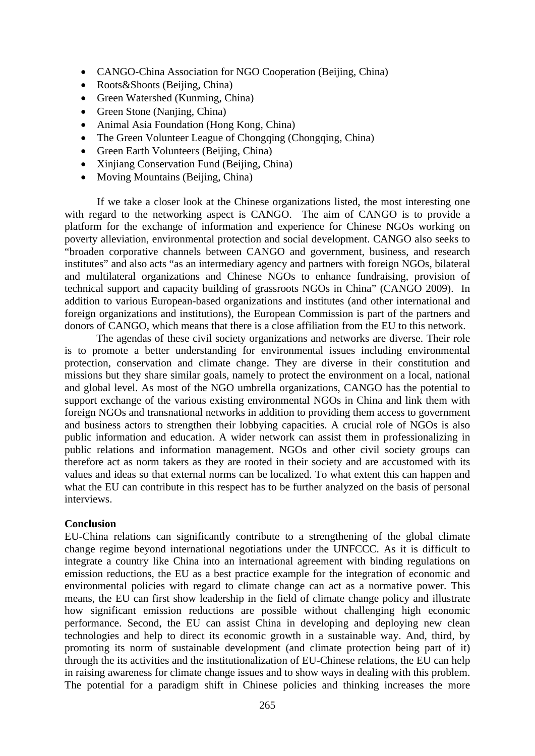- CANGO-China Association for NGO Cooperation (Beijing, China)
- Roots & Shoots (Beijing, China)
- Green Watershed (Kunming, China)
- Green Stone (Nanjing, China)
- Animal Asia Foundation (Hong Kong, China)
- The Green Volunteer League of Chongqing (Chongqing, China)
- Green Earth Volunteers (Beijing, China)
- Xinjiang Conservation Fund (Beijing, China)
- Moving Mountains (Beijing, China)

 If we take a closer look at the Chinese organizations listed, the most interesting one with regard to the networking aspect is CANGO. The aim of CANGO is to provide a platform for the exchange of information and experience for Chinese NGOs working on poverty alleviation, environmental protection and social development. CANGO also seeks to "broaden corporative channels between CANGO and government, business, and research institutes" and also acts "as an intermediary agency and partners with foreign NGOs, bilateral and multilateral organizations and Chinese NGOs to enhance fundraising, provision of technical support and capacity building of grassroots NGOs in China" (CANGO 2009). In addition to various European-based organizations and institutes (and other international and foreign organizations and institutions), the European Commission is part of the partners and donors of CANGO, which means that there is a close affiliation from the EU to this network.

The agendas of these civil society organizations and networks are diverse. Their role is to promote a better understanding for environmental issues including environmental protection, conservation and climate change. They are diverse in their constitution and missions but they share similar goals, namely to protect the environment on a local, national and global level. As most of the NGO umbrella organizations, CANGO has the potential to support exchange of the various existing environmental NGOs in China and link them with foreign NGOs and transnational networks in addition to providing them access to government and business actors to strengthen their lobbying capacities. A crucial role of NGOs is also public information and education. A wider network can assist them in professionalizing in public relations and information management. NGOs and other civil society groups can therefore act as norm takers as they are rooted in their society and are accustomed with its values and ideas so that external norms can be localized. To what extent this can happen and what the EU can contribute in this respect has to be further analyzed on the basis of personal interviews.

#### **Conclusion**

EU-China relations can significantly contribute to a strengthening of the global climate change regime beyond international negotiations under the UNFCCC. As it is difficult to integrate a country like China into an international agreement with binding regulations on emission reductions, the EU as a best practice example for the integration of economic and environmental policies with regard to climate change can act as a normative power. This means, the EU can first show leadership in the field of climate change policy and illustrate how significant emission reductions are possible without challenging high economic performance. Second, the EU can assist China in developing and deploying new clean technologies and help to direct its economic growth in a sustainable way. And, third, by promoting its norm of sustainable development (and climate protection being part of it) through the its activities and the institutionalization of EU-Chinese relations, the EU can help in raising awareness for climate change issues and to show ways in dealing with this problem. The potential for a paradigm shift in Chinese policies and thinking increases the more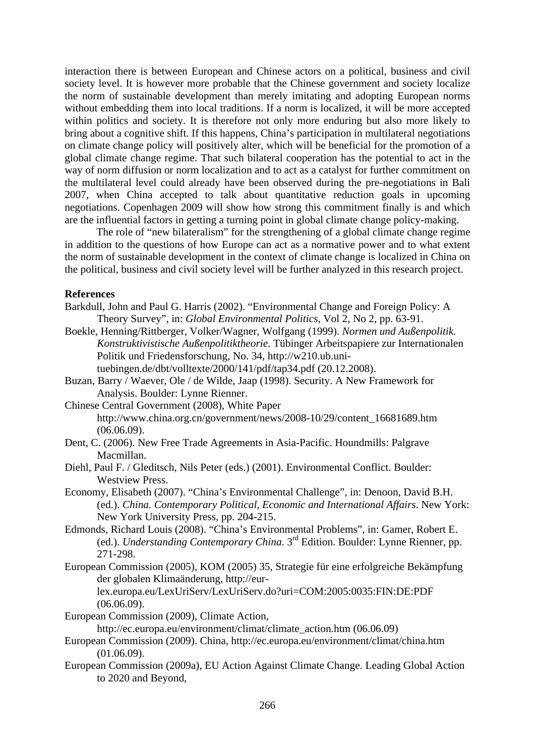interaction there is between European and Chinese actors on a political, business and civil society level. It is however more probable that the Chinese government and society localize the norm of sustainable development than merely imitating and adopting European norms without embedding them into local traditions. If a norm is localized, it will be more accepted within politics and society. It is therefore not only more enduring but also more likely to bring about a cognitive shift. If this happens, China's participation in multilateral negotiations on climate change policy will positively alter, which will be beneficial for the promotion of a global climate change regime. That such bilateral cooperation has the potential to act in the way of norm diffusion or norm localization and to act as a catalyst for further commitment on the multilateral level could already have been observed during the pre-negotiations in Bali 2007, when China accepted to talk about quantitative reduction goals in upcoming negotiations. Copenhagen 2009 will show how strong this commitment finally is and which are the influential factors in getting a turning point in global climate change policy-making.

The role of "new bilateralism" for the strengthening of a global climate change regime in addition to the questions of how Europe can act as a normative power and to what extent the norm of sustainable development in the context of climate change is localized in China on the political, business and civil society level will be further analyzed in this research project.

### **References**

- Barkdull, John and Paul G. Harris (2002). "Environmental Change and Foreign Policy: A Theory Survey", in: *Global Environmental Politics*, Vol 2, No 2, pp. 63-91.
- Boekle, Henning/Rittberger, Volker/Wagner, Wolfgang (1999). *Normen und Außenpolitik. Konstruktivistische Außenpolitiktheorie*. Tübinger Arbeitspapiere zur Internationalen Politik und Friedensforschung, No. 34, http://w210.ub.unituebingen.de/dbt/volltexte/2000/141/pdf/tap34.pdf (20.12.2008).
- Buzan, Barry / Waever, Ole / de Wilde, Jaap (1998). Security. A New Framework for Analysis. Boulder: Lynne Rienner.
- Chinese Central Government (2008), White Paper http://www.china.org.cn/government/news/2008-10/29/content\_16681689.htm (06.06.09).
- Dent, C. (2006). New Free Trade Agreements in Asia-Pacific. Houndmills: Palgrave Macmillan.
- Diehl, Paul F. / Gleditsch, Nils Peter (eds.) (2001). Environmental Conflict. Boulder: Westview Press.
- Economy, Elisabeth (2007). "China's Environmental Challenge", in: Denoon, David B.H. (ed.). *China. Contemporary Political, Economic and International Affairs*. New York: New York University Press, pp. 204-215.
- Edmonds, Richard Louis (2008). "China's Environmental Problems", in: Gamer, Robert E. (ed.). *Understanding Contemporary China*. 3rd Edition. Boulder: Lynne Rienner, pp. 271-298.
- European Commission (2005), KOM (2005) 35, Strategie für eine erfolgreiche Bekämpfung der globalen Klimaänderung, http://eurlex.europa.eu/LexUriServ/LexUriServ.do?uri=COM:2005:0035:FIN:DE:PDF (06.06.09).

European Commission (2009), Climate Action,

http://ec.europa.eu/environment/climat/climate\_action.htm (06.06.09)

- European Commission (2009). China, http://ec.europa.eu/environment/climat/china.htm (01.06.09).
- European Commission (2009a), EU Action Against Climate Change. Leading Global Action to 2020 and Beyond,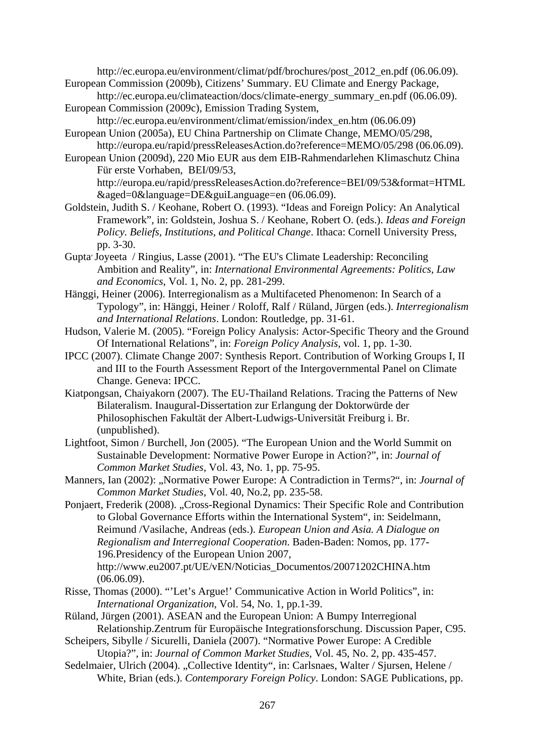http://ec.europa.eu/environment/climat/pdf/brochures/post\_2012\_en.pdf (06.06.09). European Commission (2009b), Citizens' Summary. EU Climate and Energy Package,

- http://ec.europa.eu/climateaction/docs/climate-energy\_summary\_en.pdf (06.06.09). European Commission (2009c), Emission Trading System,
- http://ec.europa.eu/environment/climat/emission/index\_en.htm (06.06.09) European Union (2005a), EU China Partnership on Climate Change, MEMO/05/298,
- http://europa.eu/rapid/pressReleasesAction.do?reference=MEMO/05/298 (06.06.09).
- European Union (2009d), 220 Mio EUR aus dem EIB-Rahmendarlehen Klimaschutz China Für erste Vorhaben, BEI/09/53, http://europa.eu/rapid/pressReleasesAction.do?reference=BEI/09/53&format=HTML
- &aged=0&language=DE&guiLanguage=en (06.06.09). Goldstein, Judith S. / Keohane, Robert O. (1993). "Ideas and Foreign Policy: An Analytical Framework", in: Goldstein, Joshua S. / Keohane, Robert O. (eds.). *Ideas and Foreign Policy. Beliefs, Institutions, and Political Change*. Ithaca: Cornell University Press, pp. 3-30.
- Gupta, Joyeeta / Ringius, Lasse (2001). "The EU's Climate Leadership: Reconciling Ambition and Reality", in: *International Environmental Agreements: Politics, Law and Economics*, Vol. 1, No. 2, pp. 281-299.
- Hänggi, Heiner (2006). Interregionalism as a Multifaceted Phenomenon: In Search of a Typology", in: Hänggi, Heiner / Roloff, Ralf / Rüland, Jürgen (eds.). *Interregionalism and International Relations*. London: Routledge, pp. 31-61.
- Hudson, Valerie M. (2005). "Foreign Policy Analysis: Actor-Specific Theory and the Ground Of International Relations", in: *Foreign Policy Analysis*, vol. 1, pp. 1-30.
- IPCC (2007). Climate Change 2007: Synthesis Report. Contribution of Working Groups I, II and III to the Fourth Assessment Report of the Intergovernmental Panel on Climate Change. Geneva: IPCC.
- Kiatpongsan, Chaiyakorn (2007). The EU-Thailand Relations. Tracing the Patterns of New Bilateralism. Inaugural-Dissertation zur Erlangung der Doktorwürde der Philosophischen Fakultät der Albert-Ludwigs-Universität Freiburg i. Br. (unpublished).
- Lightfoot, Simon / Burchell, Jon (2005). "The European Union and the World Summit on Sustainable Development: Normative Power Europe in Action?", in: *Journal of Common Market Studies*, Vol. 43, No. 1, pp. 75-95.
- Manners, Ian (2002): "Normative Power Europe: A Contradiction in Terms?", in: *Journal of Common Market Studies*, Vol. 40, No.2, pp. 235-58.
- Ponjaert, Frederik (2008). "Cross-Regional Dynamics: Their Specific Role and Contribution to Global Governance Efforts within the International System", in: Seidelmann, Reimund /Vasilache, Andreas (eds.). *European Union and Asia. A Dialogue on Regionalism and Interregional Cooperation*. Baden-Baden: Nomos, pp. 177- 196.Presidency of the European Union 2007, http://www.eu2007.pt/UE/vEN/Noticias\_Documentos/20071202CHINA.htm (06.06.09).
- Risse, Thomas (2000). "'Let's Argue!' Communicative Action in World Politics", in: *International Organization*, Vol. 54, No. 1, pp.1-39.
- Rüland, Jürgen (2001). ASEAN and the European Union: A Bumpy Interregional Relationship.Zentrum für Europäische Integrationsforschung. Discussion Paper, C95.
- Scheipers, Sibylle / Sicurelli, Daniela (2007). "Normative Power Europe: A Credible Utopia?", in: *Journal of Common Market Studies*, Vol. 45, No. 2, pp. 435-457.
- Sedelmaier, Ulrich (2004). "Collective Identity", in: Carlsnaes, Walter / Sjursen, Helene / White, Brian (eds.). *Contemporary Foreign Policy*. London: SAGE Publications, pp.